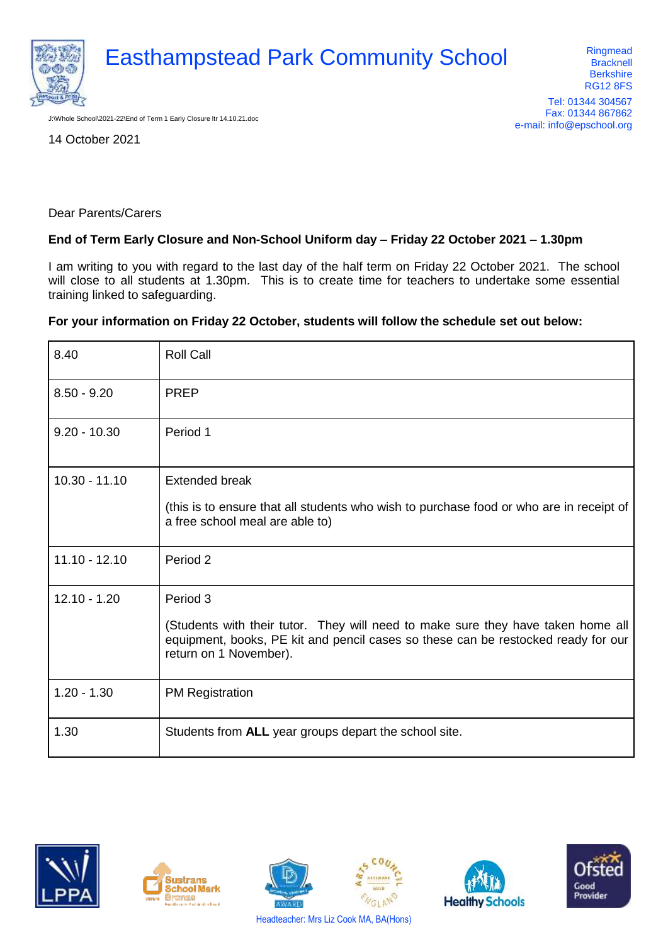

J:\Whole School\2021-22\End of Term 1 Early Closure ltr 14.10.21.doc

14 October 2021

Dear Parents/Carers

## **End of Term Early Closure and Non-School Uniform day – Friday 22 October 2021 – 1.30pm**

I am writing to you with regard to the last day of the half term on Friday 22 October 2021. The school will close to all students at 1.30pm. This is to create time for teachers to undertake some essential training linked to safeguarding.

## **For your information on Friday 22 October, students will follow the schedule set out below:**

| 8.40            | <b>Roll Call</b>                                                                                                                                                                                |
|-----------------|-------------------------------------------------------------------------------------------------------------------------------------------------------------------------------------------------|
| $8.50 - 9.20$   | <b>PREP</b>                                                                                                                                                                                     |
| $9.20 - 10.30$  | Period 1                                                                                                                                                                                        |
| $10.30 - 11.10$ | <b>Extended break</b>                                                                                                                                                                           |
|                 | (this is to ensure that all students who wish to purchase food or who are in receipt of<br>a free school meal are able to)                                                                      |
| $11.10 - 12.10$ | Period 2                                                                                                                                                                                        |
| $12.10 - 1.20$  | Period 3                                                                                                                                                                                        |
|                 | (Students with their tutor. They will need to make sure they have taken home all<br>equipment, books, PE kit and pencil cases so these can be restocked ready for our<br>return on 1 November). |
| $1.20 - 1.30$   | <b>PM Registration</b>                                                                                                                                                                          |
| 1.30            | Students from ALL year groups depart the school site.                                                                                                                                           |













Headteacher: Mrs Liz Cook MA, BA(Hons)